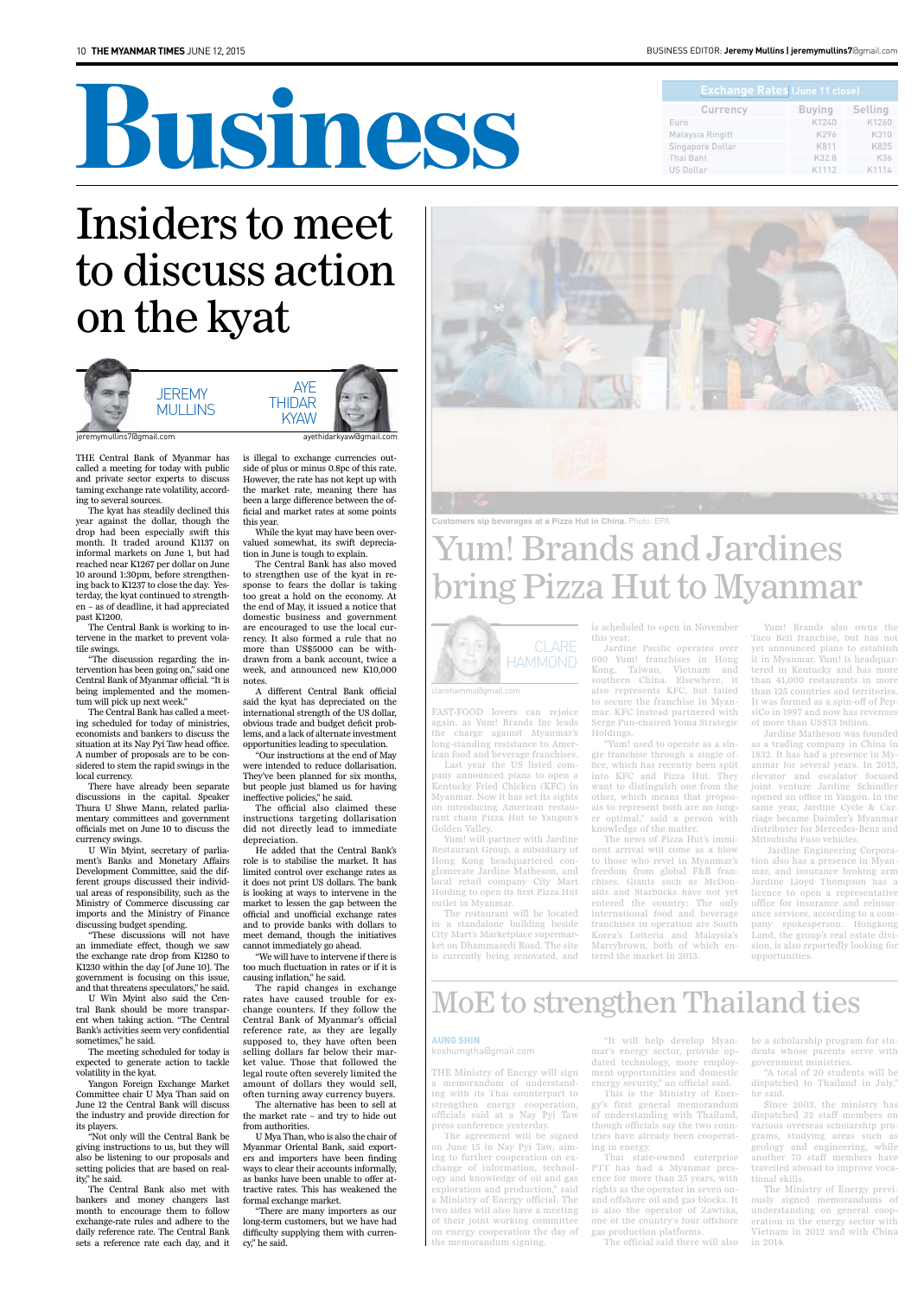# Business

#### BuSIneSS edItor: **Jeremy Mullins | jeremymullins7**@gmail.com

FAST-FOOD lovers can rejoice again, as Yum! Brands Inc leads the charge against Myanmar's long-standing resistance to American food and beverage franchises.

Last year the US listed company announced plans to open a Kentucky Fried Chicken (KFC) in Myanmar. Now it has set its sights on introducing American restaurant chain Pizza Hut to Yangon's Golden Valley.

Yum! will partner with Jardine Restaurant Group, a subsidiary of Hong Kong headquartered conglomerate Jardine Matheson, and local retail company City Mart Holding to open its first Pizza Hut outlet in Myanmar.

The restaurant will be located in a standalone building beside City Mart's Marketplace supermarket on Dhammazedi Road. The site is currently being renovated, and is scheduled to open in November this year.

Jardine Pacific operates over 600 Yum! franchises in Hong Kong, Taiwan, Vietnam and southern China. Elsewhere, it also represents KFC, but failed to secure the franchise in Myanmar. KFC instead partnered with Serge Pun-chaired Yoma Strategic Holdings.

"Yum! used to operate as a single franchise through a single office, which has recently been split into KFC and Pizza Hut. They want to distinguish one from the other, which means that proposals to represent both are no longer optimal," said a person with knowledge of the matter.

The news of Pizza Hut's imminent arrival will come as a blow to those who revel in Myanmar's freedom from global F&B franchises. Giants such as McDonalds and Starbucks have not yet entered the country: The only international food and beverage franchises in operation are South Korea's Lotteria and Malaysia's Marrybrown, both of which entered the market in 2013.

Yum! Brands also owns the Taco Bell franchise, but has not yet announced plans to establish it in Myanmar. Yum! is headquartered in Kentucky and has more than 41,000 restaurants in more than 125 countries and territories. It was formed as a spin-off of PepsiCo in 1997 and now has revenues of more than US\$13 billion.

Jardine Matheson was founded as a trading company in China in 1832. It has had a presence in Myanmar for several years. In 2013, elevator and escalator focused joint venture Jardine Schindler opened an office in Yangon. In the same year, Jardine Cycle & Carriage became Daimler's Myanmar distributer for Mercedes-Benz and Mitsubishi Fuso vehicles.

 Jardine Engineering Corporation also has a presence in Myanmar, and insurance broking arm Jardine Lloyd Thompson has a licence to open a representative office for insurance and reinsurance services, according to a company spokesperson. Hongkong Land, the group's real estate division, is also reportedly looking for opportunities.

THE Central Bank of Myanmar has called a meeting for today with public and private sector experts to discuss taming exchange rate volatility, according to several sources.

The kyat has steadily declined this year against the dollar, though the drop had been especially swift this month. It traded around K1137 on informal markets on June 1, but had reached near K1267 per dollar on June 10 around 1:30pm, before strengthening back to K1237 to close the day. Yesterday, the kyat continued to strengthen – as of deadline, it had appreciated past K1200.

The Central Bank is working to intervene in the market to prevent volatile swings.

"The discussion regarding the intervention has been going on," said one Central Bank of Myanmar official. "It is being implemented and the momentum will pick up next week."

The Central Bank has called a meeting scheduled for today of ministries, economists and bankers to discuss the situation at its Nay Pyi Taw head office. A number of proposals are to be considered to stem the rapid swings in the local currency.

There have already been separate discussions in the capital. Speaker Thura U Shwe Mann, related parliamentary committees and government officials met on June 10 to discuss the currency swings.

**AYE THIDAR** kyaw

U Win Myint, secretary of parliament's Banks and Monetary Affairs Development Committee, said the different groups discussed their individual areas of responsibility, such as the Ministry of Commerce discussing car imports and the Ministry of Finance discussing budget spending.

"These discussions will not have an immediate effect, though we saw the exchange rate drop from K1280 to K1230 within the day [of June 10]. The government is focusing on this issue, and that threatens speculators," he said.

U Win Myint also said the Cen-

tral Bank should be more transparent when taking action. "The Central Bank's activities seem very confidential sometimes," he said.

The meeting scheduled for today is expected to generate action to tackle volatility in the kyat.

Yangon Foreign Exchange Market Committee chair U Mya Than said on June 12 the Central Bank will discuss the industry and provide direction for its players.

"Not only will the Central Bank be giving instructions to us, but they will also be listening to our proposals and setting policies that are based on reality," he said.

The Central Bank also met with bankers and money changers last month to encourage them to follow exchange-rate rules and adhere to the daily reference rate. The Central Bank sets a reference rate each day, and it is illegal to exchange currencies outside of plus or minus 0.8pc of this rate. However, the rate has not kept up with the market rate, meaning there has been a large difference between the official and market rates at some points this year.

While the kyat may have been overvalued somewhat, its swift depreciation in June is tough to explain.

The Central Bank has also moved to strengthen use of the kyat in response to fears the dollar is taking too great a hold on the economy. At the end of May, it issued a notice that domestic business and government are encouraged to use the local currency. It also formed a rule that no more than US\$5000 can be withdrawn from a bank account, twice a week, and announced new K10,000 notes.

A different Central Bank official said the kyat has depreciated on the international strength of the US dollar, obvious trade and budget deficit problems, and a lack of alternate investment opportunities leading to speculation.

"Our instructions at the end of May were intended to reduce dollarisation. They've been planned for six months, but people just blamed us for having ineffective policies," he said.

The official also claimed these instructions targeting dollarisation did not directly lead to immediate depreciation.

He added that the Central Bank's role is to stabilise the market. It has limited control over exchange rates as it does not print US dollars. The bank is looking at ways to intervene in the market to lessen the gap between the official and unofficial exchange rates and to provide banks with dollars to meet demand, though the initiatives cannot immediately go ahead.

"We will have to intervene if there is too much fluctuation in rates or if it is causing inflation," he said.

The rapid changes in exchange rates have caused trouble for ex-

| <b>Exchange Rates (June 11 close)</b> |               |                |  |
|---------------------------------------|---------------|----------------|--|
| <b>Currency</b>                       | <b>Buying</b> | <b>Selling</b> |  |
| Euro                                  | K1240         | K1260          |  |
| Malaysia Ringitt                      | K296          | K310           |  |
| Singapore Dollar                      | K811          | K825           |  |
| Thai Baht                             | K32.8         | K36            |  |
| <b>US Dollar</b>                      | K1112         | K1114          |  |

change counters. If they follow the Central Bank of Myanmar's official reference rate, as they are legally supposed to, they have often been selling dollars far below their market value. Those that followed the legal route often severely limited the amount of dollars they would sell, often turning away currency buyers. The alternative has been to sell at the market rate – and try to hide out from authorities.

U Mya Than, who is also the chair of Myanmar Oriental Bank, said exporters and importers have been finding ways to clear their accounts informally, as banks have been unable to offer attractive rates. This has weakened the formal exchange market.

"There are many importers as our long-term customers, but we have had difficulty supplying them with currency," he said.

## Insiders to meet to discuss action on the kyat

jeremymullins7@gmail.com ayethidarkyaw@gmail.com



## Yum! Brands and Jardines bring Pizza Hut to Myanmar

THE Ministry of Energy will sign a memorandum of understanding with its Thai counterpart to strengthen energy cooperation, officials said at a Nay Pyi Taw press conference yesterday.

The agreement will be signed on June 15 in Nay Pyi Taw, aiming to further cooperation on exchange of information, technology and knowledge of oil and gas exploration and production," said a Ministry of Energy official. The two sides will also have a meeting of their joint working committee on energy cooperation the day of the memorandum signing.

"It will help develop Myanmar's energy sector, provide updated technology, more employment opportunities and domestic energy security," an official said.

This is the Ministry of Energy's first general memorandum of understanding with Thailand, though officials say the two countries have already been cooperating in energy.

Thai state-owned enterprise PTT has had a Myanmar presence for more than 25 years, with rights as the operator in seven onand offshore oil and gas blocks. It is also the operator of Zawtika, one of the country's four offshore gas production platforms.

The official said there will also

be a scholarship program for students whose parents serve with government ministries.

"A total of 20 students will be dispatched to Thailand in July," he said.

Since 2003, the ministry has dispatched 32 staff members on various overseas scholarship programs, studying areas such as geology and engineering, while another 70 staff members have travelled abroad to improve vocational skills.

The Ministry of Energy previously signed memorandums of understanding on general cooperation in the energy sector with Vietnam in 2012 and with China in 2014.

## MoE to strengthen Thailand ties

#### aung shin

koshumgtha@gmail.com



**Customers sip beverages at a Pizza Hut in China.** Photo: EPA



clarehammo@gmail.com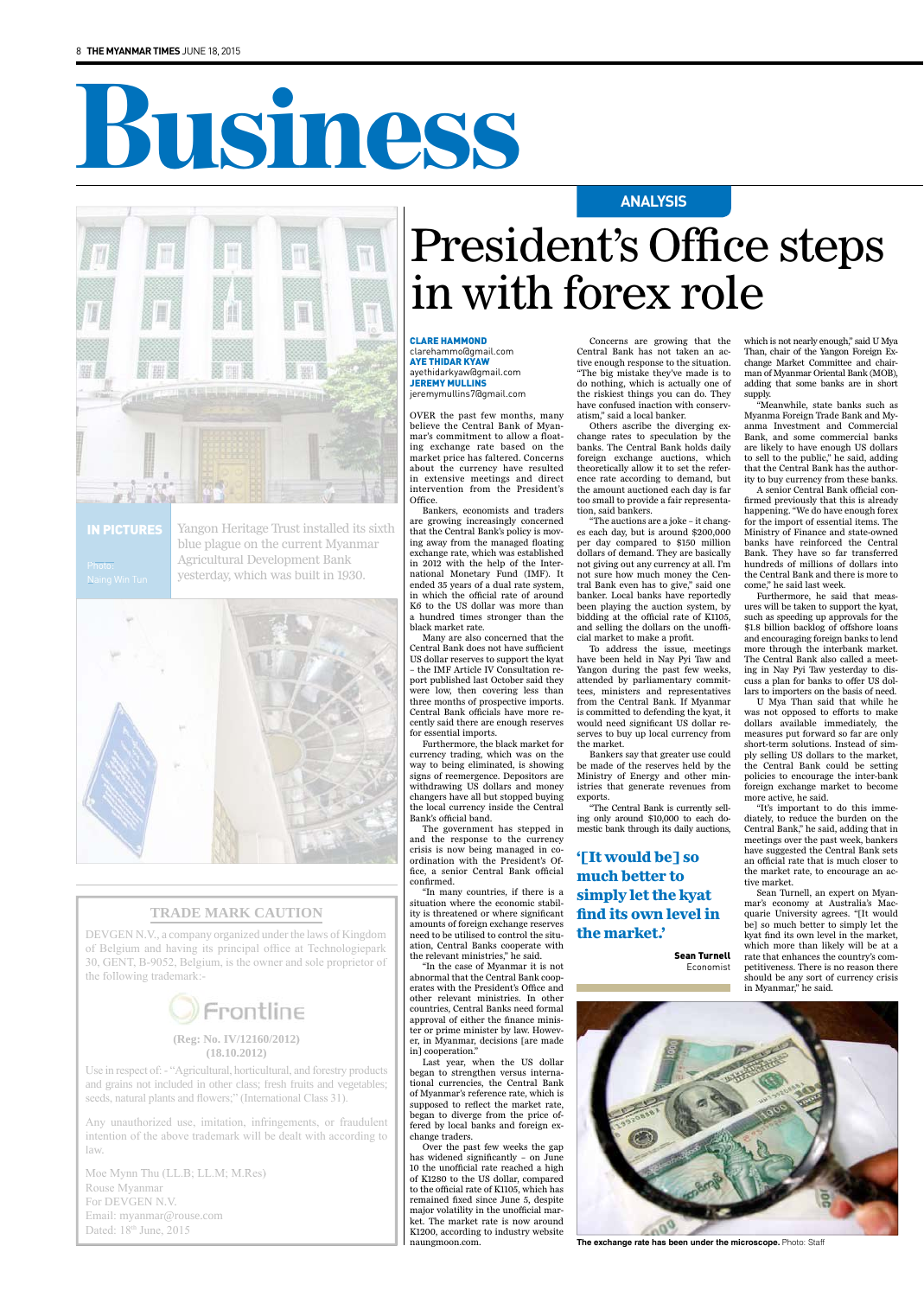# Business



## **TRADE MARK CAUTION**

Use in respect of: - "Agricultural, horticultural, and forestry products and grains not included in other class; fresh fruits and vegetables; seeds, natural plants and flowers;" (International Class 31).

DEVGEN N.V., a company organized under the laws of Kingdom of Belgium and having its principal office at Technologiepark 30, GENT, B-9052, Belgium, is the owner and sole proprietor of the following trademark:-



## **(Reg: No. IV/12160/2012) (18.10.2012)**

Moe Mynn Thu (LL.B; LL.M; M.Res) Rouse Myanmar For DEVGEN N.V. Email: myanmar@rouse.com Dated: 18<sup>th</sup> June, 2015

Any unauthorized use, imitation, infringements, or fraudulent intention of the above trademark will be dealt with according to law.



**The exchange rate has been under the microscope.** Photo: Staff

OVER the past few months, many believe the Central Bank of Myanmar's commitment to allow a floating exchange rate based on the market price has faltered. Concerns about the currency have resulted in extensive meetings and direct intervention from the President's Office.

Bankers, economists and traders are growing increasingly concerned that the Central Bank's policy is moving away from the managed floating exchange rate, which was established in 2012 with the help of the International Monetary Fund (IMF). It ended 35 years of a dual rate system, in which the official rate of around K6 to the US dollar was more than a hundred times stronger than the black market rate.

Many are also concerned that the Central Bank does not have sufficient US dollar reserves to support the kyat – the IMF Article IV Consultation report published last October said they were low, then covering less than three months of prospective imports. Central Bank officials have more recently said there are enough reserves for essential imports.

Furthermore, the black market for currency trading, which was on the way to being eliminated, is showing signs of reemergence. Depositors are withdrawing US dollars and money changers have all but stopped buying the local currency inside the Central Bank's official band.

The government has stepped in and the response to the currency crisis is now being managed in coordination with the President's Office, a senior Central Bank official confirmed.

"In many countries, if there is a situation where the economic stability is threatened or where significant amounts of foreign exchange reserves need to be utilised to control the situation, Central Banks cooperate with the relevant ministries," he said.

"In the case of Myanmar it is not abnormal that the Central Bank cooperates with the President's Office and other relevant ministries. In other countries, Central Banks need formal approval of either the finance minister or prime minister by law. However, in Myanmar, decisions [are made in] cooperation." Last year, when the US dollar began to strengthen versus international currencies, the Central Bank of Myanmar's reference rate, which is supposed to reflect the market rate, began to diverge from the price offered by local banks and foreign exchange traders. Over the past few weeks the gap has widened significantly – on June 10 the unofficial rate reached a high of K1280 to the US dollar, compared to the official rate of K1105, which has remained fixed since June 5, despite major volatility in the unofficial market. The market rate is now around K1200, according to industry website naungmoon.com.

Concerns are growing that the Central Bank has not taken an active enough response to the situation. "The big mistake they've made is to do nothing, which is actually one of the riskiest things you can do. They have confused inaction with conservatism," said a local banker.

> sean turnell Economist

Others ascribe the diverging exchange rates to speculation by the banks. The Central Bank holds daily foreign exchange auctions, which theoretically allow it to set the reference rate according to demand, but the amount auctioned each day is far too small to provide a fair representation, said bankers.

"The auctions are a joke – it changes each day, but is around \$200,000 per day compared to \$150 million dollars of demand. They are basically not giving out any currency at all. I'm not sure how much money the Central Bank even has to give," said one banker. Local banks have reportedly been playing the auction system, by bidding at the official rate of K1105, and selling the dollars on the unofficial market to make a profit.

To address the issue, meetings have been held in Nay Pyi Taw and Yangon during the past few weeks, attended by parliamentary committees, ministers and representatives from the Central Bank. If Myanmar is committed to defending the kyat, it would need significant US dollar reserves to buy up local currency from the market.

Bankers say that greater use could be made of the reserves held by the Ministry of Energy and other ministries that generate revenues from exports.

"The Central Bank is currently selling only around \$10,000 to each domestic bank through its daily auctions,

which is not nearly enough," said U Mya Than, chair of the Yangon Foreign Exchange Market Committee and chairman of Myanmar Oriental Bank (MOB), adding that some banks are in short supply.

"Meanwhile, state banks such as Myanma Foreign Trade Bank and Myanma Investment and Commercial Bank, and some commercial banks are likely to have enough US dollars to sell to the public," he said, adding that the Central Bank has the authority to buy currency from these banks.

A senior Central Bank official confirmed previously that this is already happening. "We do have enough forex for the import of essential items. The Ministry of Finance and state-owned banks have reinforced the Central Bank. They have so far transferred hundreds of millions of dollars into the Central Bank and there is more to come," he said last week.

Furthermore, he said that measures will be taken to support the kyat, such as speeding up approvals for the \$1.8 billion backlog of offshore loans and encouraging foreign banks to lend more through the interbank market. The Central Bank also called a meeting in Nay Pyi Taw yesterday to discuss a plan for banks to offer US dollars to importers on the basis of need.

U Mya Than said that while he was not opposed to efforts to make dollars available immediately, the measures put forward so far are only short-term solutions. Instead of simply selling US dollars to the market, the Central Bank could be setting policies to encourage the inter-bank foreign exchange market to become more active, he said.

"It's important to do this immediately, to reduce the burden on the Central Bank," he said, adding that in meetings over the past week, bankers have suggested the Central Bank sets an official rate that is much closer to the market rate, to encourage an active market.

Sean Turnell, an expert on Myanmar's economy at Australia's Macquarie University agrees. "[It would be] so much better to simply let the kyat find its own level in the market, which more than likely will be at a rate that enhances the country's competitiveness. There is no reason there should be any sort of currency crisis in Myanmar," he said.

**ANAlYSIS**

## President's Office steps in with forex role

### clare hammond

clarehammo@gmail.com aye thidar kyaw ayethidarkyaw@gmail.com jeremy mullins jeremymullins7@gmail.com

## **'[It would be] so much better to simply let the kyat find its own level in the market.'**

in Pictures

Yangon Heritage Trust installed its sixth blue plague on the current Myanmar Agricultural Development Bank yesterday, which was built in 1930.

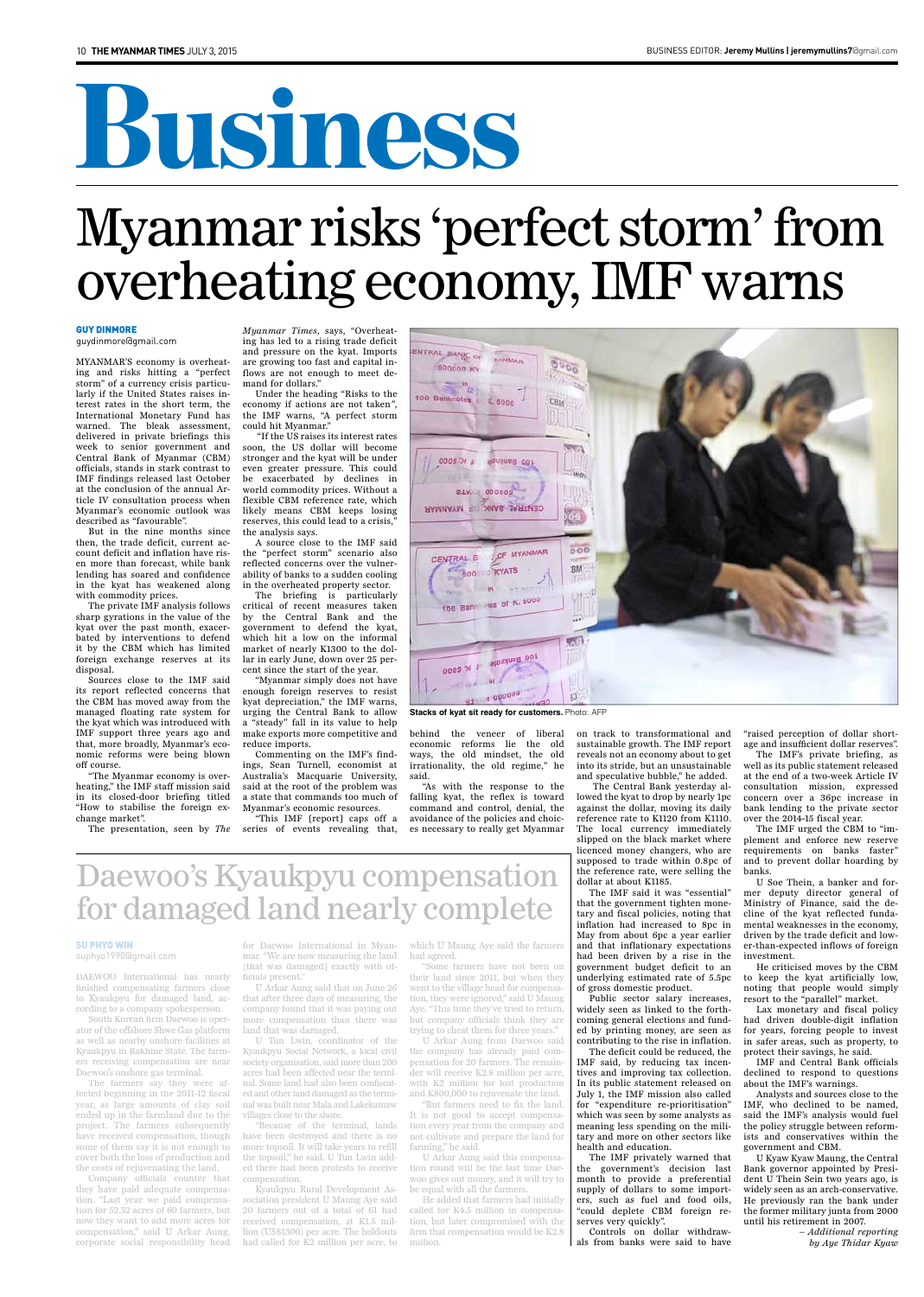# Business

MYANMAR'S economy is overheating and risks hitting a "perfect storm" of a currency crisis particularly if the United States raises interest rates in the short term, the International Monetary Fund has warned. The bleak assessment, delivered in private briefings this week to senior government and Central Bank of Myanmar (CBM) officials, stands in stark contrast to IMF findings released last October at the conclusion of the annual Article IV consultation process when Myanmar's economic outlook was described as "favourable".

*Myanmar Times*, says, "Overheating has led to a rising trade deficit and pressure on the kyat. Imports are growing too fast and capital inflows are not enough to meet demand for dollars."

But in the nine months since then, the trade deficit, current account deficit and inflation have risen more than forecast, while bank lending has soared and confidence in the kyat has weakened along with commodity prices.

The private IMF analysis follows sharp gyrations in the value of the kyat over the past month, exacerbated by interventions to defend it by the CBM which has limited foreign exchange reserves at its disposal.

Sources close to the IMF said its report reflected concerns that the CBM has moved away from the managed floating rate system for the kyat which was introduced with IMF support three years ago and that, more broadly, Myanmar's economic reforms were being blown off course.

The briefing is particularly critical of recent measures taken by the Central Bank and the government to defend the kyat, which hit a low on the informal market of nearly K1300 to the dollar in early June, down over 25 percent since the start of the year.

"The Myanmar economy is overheating," the IMF staff mission said in its closed-door briefing titled "How to stabilise the foreign exchange market".

The presentation, seen by *The* 

Under the heading "Risks to the economy if actions are not taken*"*, the IMF warns, "A perfect storm could hit Myanmar."

"If the US raises its interest rates soon, the US dollar will become stronger and the kyat will be under even greater pressure. This could be exacerbated by declines in world commodity prices. Without a flexible CBM reference rate, which likely means CBM keeps losing reserves, this could lead to a crisis, the analysis says.

A source close to the IMF said the "perfect storm" scenario also reflected concerns over the vulnerability of banks to a sudden cooling in the overheated property sector.

"Myanmar simply does not have enough foreign reserves to resist kyat depreciation," the IMF warns, urging the Central Bank to allow a "steady" fall in its value to help make exports more competitive and reduce imports.

Commenting on the IMF's findings, Sean Turnell, economist at Australia's Macquarie University, said at the root of the problem was a state that commands too much of Myanmar's economic resources.

"This IMF [report] caps off a series of events revealing that,



behind the veneer of liberal economic reforms lie the old ways, the old mindset, the old irrationality, the old regime," he said.

"As with the response to the falling kyat, the reflex is toward command and control, denial, the avoidance of the policies and choices necessary to really get Myanmar

on track to transformational and sustainable growth. The IMF report reveals not an economy about to get into its stride, but an unsustainable and speculative bubble," he added.

The Central Bank yesterday allowed the kyat to drop by nearly 1pc against the dollar, moving its daily reference rate to K1120 from K1110. The local currency immediately slipped on the black market where licenced money changers, who are supposed to trade within 0.8pc of the reference rate, were selling the dollar at about K1185.

The IMF said it was "essential" that the government tighten monetary and fiscal policies, noting that inflation had increased to 8pc in May from about 6pc a year earlier and that inflationary expectations had been driven by a rise in the government budget deficit to an underlying estimated rate of 5.5pc of gross domestic product.

Public sector salary increases,

widely seen as linked to the forthcoming general elections and funded by printing money, are seen as contributing to the rise in inflation.

The deficit could be reduced, the IMF said, by reducing tax incentives and improving tax collection. In its public statement released on July 1, the IMF mission also called for "expenditure re-prioritisation" which was seen by some analysts as meaning less spending on the military and more on other sectors like health and education.

The IMF privately warned that the government's decision last month to provide a preferential supply of dollars to some importers, such as fuel and food oils, "could deplete CBM foreign reserves very quickly".

Controls on dollar withdrawals from banks were said to have "raised perception of dollar shortage and insufficient dollar reserves".

The IMF's private briefing, as well as its public statement released at the end of a two-week Article IV consultation mission, expressed concern over a 36pc increase in bank lending to the private sector over the 2014-15 fiscal year.

The IMF urged the CBM to "implement and enforce new reserve requirements on banks faster" and to prevent dollar hoarding by banks.

U Soe Thein, a banker and former deputy director general of Ministry of Finance, said the decline of the kyat reflected fundamental weaknesses in the economy, driven by the trade deficit and lower-than-expected inflows of foreign investment.

He criticised moves by the CBM to keep the kyat artificially low, noting that people would simply resort to the "parallel" market. Lax monetary and fiscal policy had driven double-digit inflation for years, forcing people to invest in safer areas, such as property, to protect their savings, he said.

IMF and Central Bank officials declined to respond to questions about the IMF's warnings.

Analysts and sources close to the IMF, who declined to be named, said the IMF's analysis would fuel the policy struggle between reformists and conservatives within the government and CBM.

U Kyaw Kyaw Maung, the Central Bank governor appointed by President U Thein Sein two years ago, is widely seen as an arch-conservative. He previously ran the bank under the former military junta from 2000 until his retirement in 2007.

*– Additional reporting by Aye Thidar Kyaw*

## Daewoo's Kyaukpyu compensation for damaged land nearly complete

DAEWOO International has nearly finished compensating farmers close to Kyaukpyu for damaged land, ac-

cording to a company spokesperson.

South Korean firm Daewoo is operator of the offshore Shwe Gas platform as well as nearby onshore facilities at Kyaukpyu in Rakhine State. The farmers receiving compensation are near Daewoo's onshore gas terminal.

The farmers say they were affected beginning in the 2011-12 fiscal year, as large amounts of clay soil ended up in the farmland due to the project. The farmers subsequently have received compensation, though some of them say it is not enough to cover both the loss of production and the costs of rejuvenating the land.

Company officials counter that they have paid adequate compensation. "Last year we paid compensation for 52.52 acres of 60 farmers, but now they want to add more acres for compensation," said U Arkar Aung, corporate social responsibility head for Daewoo International in Myanmar. "We are now measuring the land [that was damaged] exactly with officials present."

U Arkar Aung said that on June 26 that after three days of measuring, the

company found that it was paying out more compensation than there was land that was damaged.

U Tun Lwin, coordinator of the Kyaukpyu Social Network, a local civil society organisation, said more than 200 acres had been affected near the terminal. Some land had also been confiscated and other land damaged as the terminal was built near Mala and Lakekamaw villages close to the shore.

"Because of the terminal, lands have been destroyed and there is no more topsoil. It will take years to refill the topsoil," he said. U Tun Lwin added there had been protests to receive compensation.

Kyaukpyu Rural Development Association president U Maung Aye said 20 farmers out of a total of 61 had received compensation, at K1.5 million (US\$1300) per acre. The holdouts had called for K2 million per acre, to

which U Maung Aye said the farmers had agreed.

"Some farmers have not been on their land since 2011, but when they went to the village head for compensation, they were ignored," said U Maung

Aye. "This time they've tried to return, but company officials think they are trying to cheat them for three years."

U Arkar Aung from Daewoo said the company has already paid compensation for 20 farmers. The remainder will receive K2.8 million per acre, with K2 million for lost production and K800,000 to rejuvenate the land.

"But farmers need to fix the land. It is not good to accept compensation every year from the company and not cultivate and prepare the land for farming," he said.

U Arkar Aung said this compensation round will be the last time Daewoo gives out money, and it will try to be equal with all the farmers.

He added that farmers had initially called for K4.5 million in compensation, but later compromised with the firm that compensation would be K2.8 million.

### Su Phyo Win

suphyo1990@gmail.com

## Myanmar risks 'perfect storm' from overheating economy, IMF warns

### Guy Dinmore

guydinmore@gmail.com

**Stacks of kyat sit ready for customers.** Photo: AFP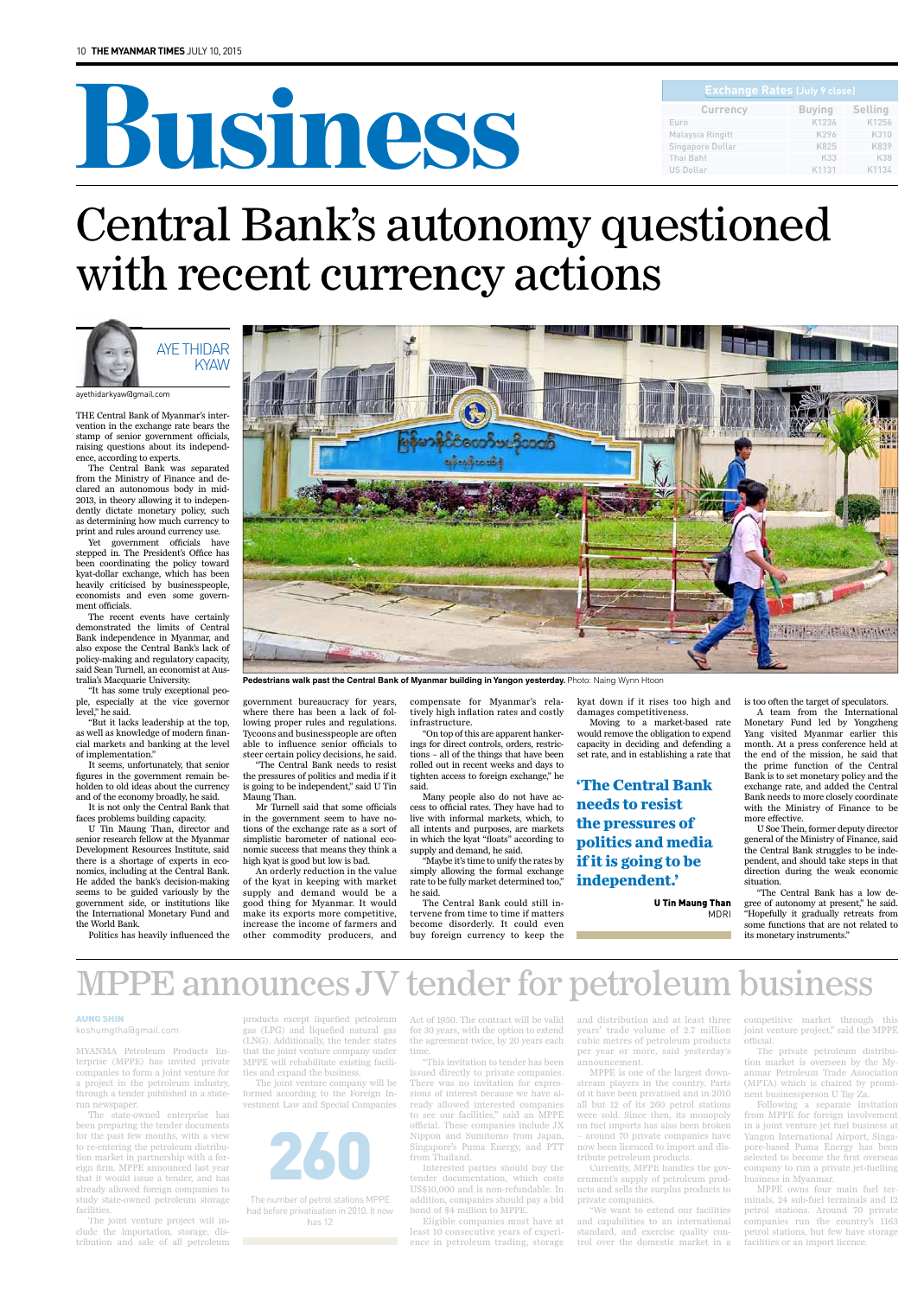# Business **Exchange Rates (July 9 close)**

THE Central Bank of Myanmar's intervention in the exchange rate bears the stamp of senior government officials, raising questions about its independence, according to experts.

The Central Bank was separated from the Ministry of Finance and declared an autonomous body in mid-2013, in theory allowing it to independently dictate monetary policy, such as determining how much currency to print and rules around currency use.

Yet government officials have stepped in. The President's Office has been coordinating the policy toward kyat-dollar exchange, which has been heavily criticised by businesspeople, economists and even some government officials.

The recent events have certainly demonstrated the limits of Central Bank independence in Myanmar, and also expose the Central Bank's lack of policy-making and regulatory capacity, said Sean Turnell, an economist at Australia's Macquarie University.

"It has some truly exceptional people, especially at the vice governor level," he said.

"But it lacks leadership at the top, as well as knowledge of modern financial markets and banking at the level of implementation."

It seems, unfortunately, that senior figures in the government remain beholden to old ideas about the currency and of the economy broadly, he said.

It is not only the Central Bank that faces problems building capacity.

U Tin Maung Than, director and senior research fellow at the Myanmar Development Resources Institute, said there is a shortage of experts in economics, including at the Central Bank. He added the bank's decision-making seems to be guided variously by the government side, or institutions like the International Monetary Fund and the World Bank.

Politics has heavily influenced the



Pedestrians walk past the Central Bank of Myanmar building in Yangon yesterday. Photo: Naing Wynn Htoon

government bureaucracy for years, where there has been a lack of following proper rules and regulations. Tycoons and businesspeople are often able to influence senior officials to steer certain policy decisions, he said.

"The Central Bank needs to resist the pressures of politics and media if it is going to be independent," said U Tin Maung Than.

## Central Bank's autonomy questioned with recent currency actions

Mr Turnell said that some officials in the government seem to have notions of the exchange rate as a sort of simplistic barometer of national economic success that means they think a high kyat is good but low is bad.

An orderly reduction in the value of the kyat in keeping with market supply and demand would be a good thing for Myanmar. It would make its exports more competitive, increase the income of farmers and other commodity producers, and

compensate for Myanmar's relatively high inflation rates and costly infrastructure.

"On top of this are apparent hankerings for direct controls, orders, restrictions – all of the things that have been rolled out in recent weeks and days to tighten access to foreign exchange," he said.

Many people also do not have access to official rates. They have had to live with informal markets, which, to all intents and purposes, are markets in which the kyat "floats" according to supply and demand, he said.

"Maybe it's time to unify the rates by simply allowing the formal exchange rate to be fully market determined too," he said.

The Central Bank could still intervene from time to time if matters become disorderly. It could even buy foreign currency to keep the

kyat down if it rises too high and damages competitiveness.

Moving to a market-based rate would remove the obligation to expend capacity in deciding and defending a set rate, and in establishing a rate that is too often the target of speculators.

A team from the International Monetary Fund led by Yongzheng Yang visited Myanmar earlier this month. At a press conference held at the end of the mission, he said that the prime function of the Central Bank is to set monetary policy and the exchange rate, and added the Central Bank needs to more closely coordinate with the Ministry of Finance to be more effective.

| <b>Exchange Rates (July 9 close)</b> |               |                |  |
|--------------------------------------|---------------|----------------|--|
| <b>Currency</b>                      | <b>Buying</b> | <b>Selling</b> |  |
| Euro                                 | K1236         | K1256          |  |
| Malaysia Ringitt                     | K296          | K310           |  |
| Singapore Dollar                     | K825          | K839           |  |
| Thai Baht                            | K33           | <b>K38</b>     |  |
| <b>US Dollar</b>                     | K1131         | K1134          |  |

U Soe Thein, former deputy director general of the Ministry of Finance, said the Central Bank struggles to be independent, and should take steps in that direction during the weak economic situation.

"The Central Bank has a low degree of autonomy at present," he said. "Hopefully it gradually retreats from some functions that are not related to its monetary instruments."



#### ayethidarkyaw@gmail.com

**'The Central Bank needs to resist the pressures of politics and media if it is going to be independent.'**

> U Tin Maung Than MDRI

MYANMA Petroleum Products Enterprise (MPPE) has invited private companies to form a joint venture for a project in the petroleum industry, through a tender published in a staterun newspaper.

The state-owned enterprise has been preparing the tender documents for the past few months, with a view to re-entering the petroleum distribution market in partnership with a foreign firm. MPPE announced last year that it would issue a tender, and has already allowed foreign companies to study state-owned petroleum storage facilities.

The joint venture project will include the importation, storage, distribution and sale of all petroleum

products except liquefied petroleum gas (LPG) and liquefied natural gas (LNG). Additionally, the tender states that the joint venture company under MPPE will rehabilitate existing facilities and expand the business.

The joint venture company will be formed according to the Foreign Investment Law and Special Companies

Act of 1950. The contract will be valid for 30 years, with the option to extend the agreement twice, by 20 years each time.

"This invitation to tender has been issued directly to private companies. There was no invitation for expressions of interest because we have already allowed interested companies to see our facilities," said an MPPE official. These companies include JX Nippon and Sumitomo from Japan, Singapore's Puma Energy, and PTT from Thailand.

Interested parties should buy the tender documentation, which costs US\$10,000 and is non-refundable. In addition, companies should pay a bid bond of \$4 million to MPPE.

Eligible companies must have at least 10 consecutive years of experience in petroleum trading, storage

and distribution and at least three years' trade volume of 2.7 million cubic metres of petroleum products per year or more, said yesterday's announcement.

MPPE is one of the largest downstream players in the country. Parts of it have been privatised and in 2010 all but 12 of its 260 petrol stations were sold. Since then, its monopoly on fuel imports has also been broken – around 70 private companies have now been licenced to import and distribute petroleum products.

Currently, MPPE handles the government's supply of petroleum products and sells the surplus products to private companies.

"We want to extend our facilities and capabilities to an international standard, and exercise quality control over the domestic market in a

competitive market through this joint venture project," said the MPPE official.

The private petroleum distribution market is overseen by the Myanmar Petroleum Trade Association (MPTA) which is chaired by prominent businessperson U Tay Za.

Following a separate invitation from MPPE for foreign involvement in a joint venture jet fuel business at Yangon International Airport, Singapore-based Puma Energy has been selected to become the first overseas company to run a private jet-fuelling business in Myanmar.

MPPE owns four main fuel terminals, 24 sub-fuel terminals and 12 petrol stations. Around 70 private companies run the country's 1163 petrol stations, but few have storage facilities or an import licence.

## MPPE announces JV tender for petroleum business

### aUng shin koshumgtha@gmail.com



The number of petrol stations MPPE had before privatisation in 2010. It now has 12